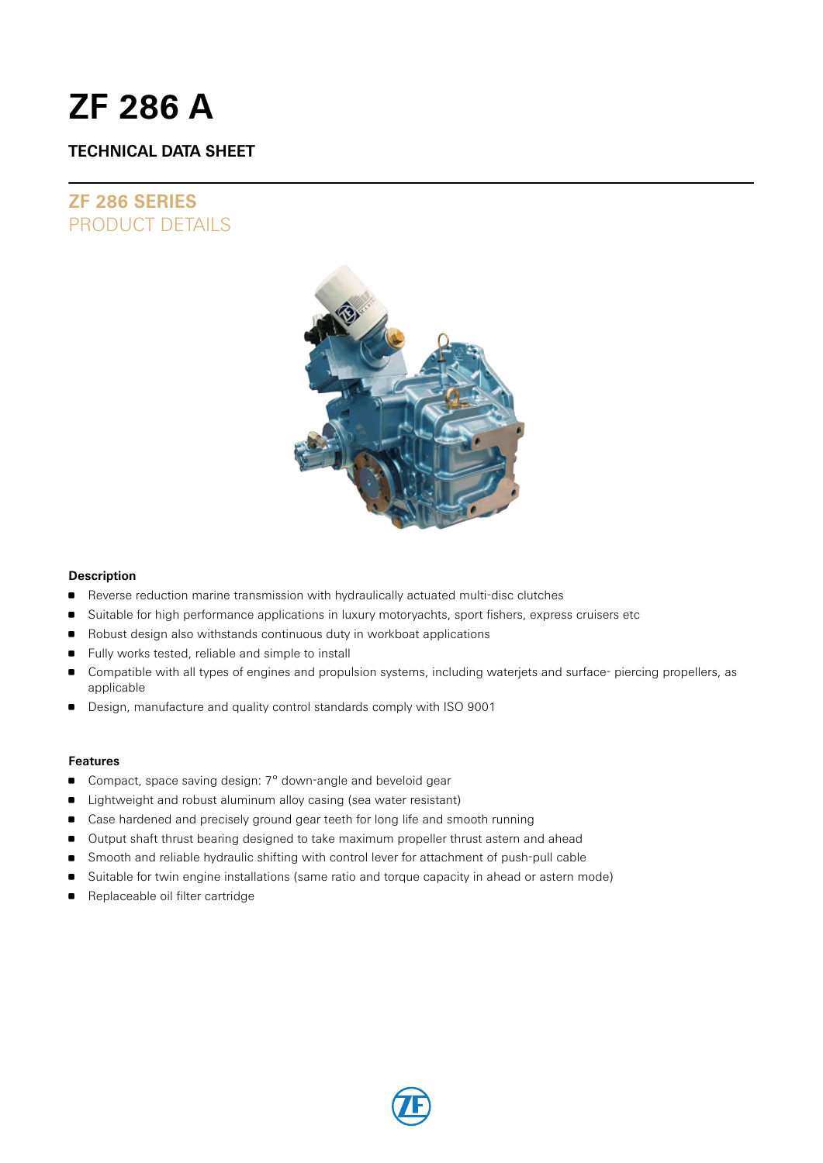# **ZF 286 A**

## **TECHNICAL DATA SHEET**

# **ZF 286 SERIES** PRODUCT DETAILS



#### **Description**

- **Reverse reduction marine transmission with hydraulically actuated multi-disc clutches**
- **Suitable for high performance applications in luxury motoryachts, sport fishers, express cruisers etc**
- Robust design also withstands continuous duty in workboat applications
- Fully works tested, reliable and simple to install
- Compatible with all types of engines and propulsion systems, including waterjets and surface- piercing propellers, as applicable
- Design, manufacture and quality control standards comply with ISO 9001

#### **Features**

- Compact, space saving design: 7° down-angle and beveloid gear
- **Example 2** Lightweight and robust aluminum alloy casing (sea water resistant)
- Case hardened and precisely ground gear teeth for long life and smooth running
- **Output shaft thrust bearing designed to take maximum propeller thrust astern and ahead**
- **Smooth and reliable hydraulic shifting with control lever for attachment of push-pull cable**
- **Suitable for twin engine installations (same ratio and torque capacity in ahead or astern mode)**
- Replaceable oil filter cartridge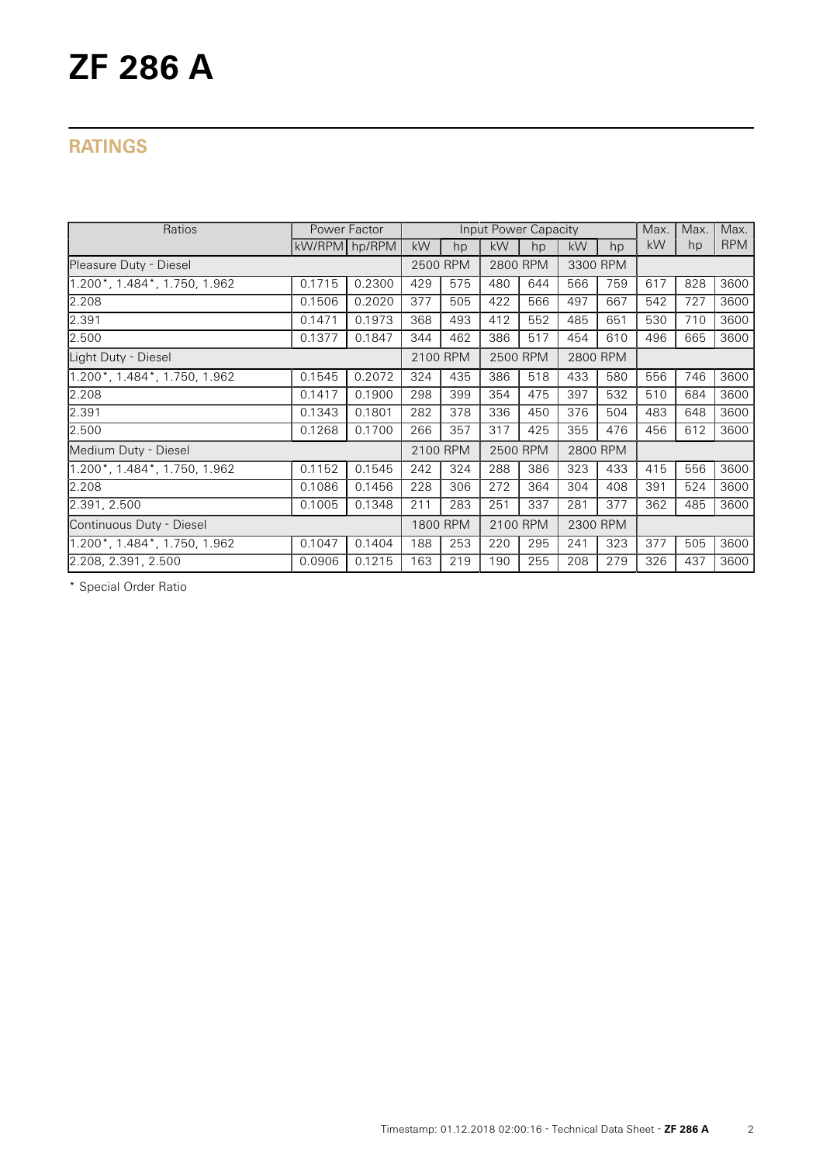# **ZF 286 A**

# **RATINGS**

| Ratios                       |               | Power Factor |          |          | Input Power Capacity |          |           |          | Max. | Max. | Max.       |
|------------------------------|---------------|--------------|----------|----------|----------------------|----------|-----------|----------|------|------|------------|
|                              | kW/RPM hp/RPM |              | kW       | hp       | kW                   | hp       | <b>kW</b> | hp       | kW   | hp   | <b>RPM</b> |
| Pleasure Duty - Diesel       |               |              |          | 2500 RPM |                      | 2800 RPM |           | 3300 RPM |      |      |            |
| 1.200*, 1.484*, 1.750, 1.962 | 0.1715        | 0.2300       | 429      | 575      | 480                  | 644      | 566       | 759      | 617  | 828  | 3600       |
| 2.208                        | 0.1506        | 0.2020       | 377      | 505      | 422                  | 566      | 497       | 667      | 542  | 727  | 3600       |
| 2.391                        | 0.1471        | 0.1973       | 368      | 493      | 412                  | 552      | 485       | 651      | 530  | 710  | 3600       |
| 2.500                        | 0.1377        | 0.1847       | 344      | 462      | 386                  | 517      | 454       | 610      | 496  | 665  | 3600       |
| Light Duty - Diesel          |               |              | 2100 RPM |          | 2500 RPM             |          | 2800 RPM  |          |      |      |            |
| 1.200*, 1.484*, 1.750, 1.962 | 0.1545        | 0.2072       | 324      | 435      | 386                  | 518      | 433       | 580      | 556  | 746  | 3600       |
| 2.208                        | 0.1417        | 0.1900       | 298      | 399      | 354                  | 475      | 397       | 532      | 510  | 684  | 3600       |
| 2.391                        | 0.1343        | 0.1801       | 282      | 378      | 336                  | 450      | 376       | 504      | 483  | 648  | 3600       |
| 2.500                        | 0.1268        | 0.1700       | 266      | 357      | 317                  | 425      | 355       | 476      | 456  | 612  | 3600       |
| Medium Duty - Diesel         |               |              | 2100 RPM |          | 2500 RPM             |          | 2800 RPM  |          |      |      |            |
| 1.200*, 1.484*, 1.750, 1.962 | 0.1152        | 0.1545       | 242      | 324      | 288                  | 386      | 323       | 433      | 415  | 556  | 3600       |
| 2.208                        | 0.1086        | 0.1456       | 228      | 306      | 272                  | 364      | 304       | 408      | 391  | 524  | 3600       |
| 2.391, 2.500                 | 0.1005        | 0.1348       | 211      | 283      | 251                  | 337      | 281       | 377      | 362  | 485  | 3600       |
| Continuous Duty - Diesel     |               |              | 1800 RPM |          | 2100 RPM             |          | 2300 RPM  |          |      |      |            |
| 1.200*, 1.484*, 1.750, 1.962 | 0.1047        | 0.1404       | 188      | 253      | 220                  | 295      | 241       | 323      | 377  | 505  | 3600       |
| 2.208, 2.391, 2.500          | 0.0906        | 0.1215       | 163      | 219      | 190                  | 255      | 208       | 279      | 326  | 437  | 3600       |

\* Special Order Ratio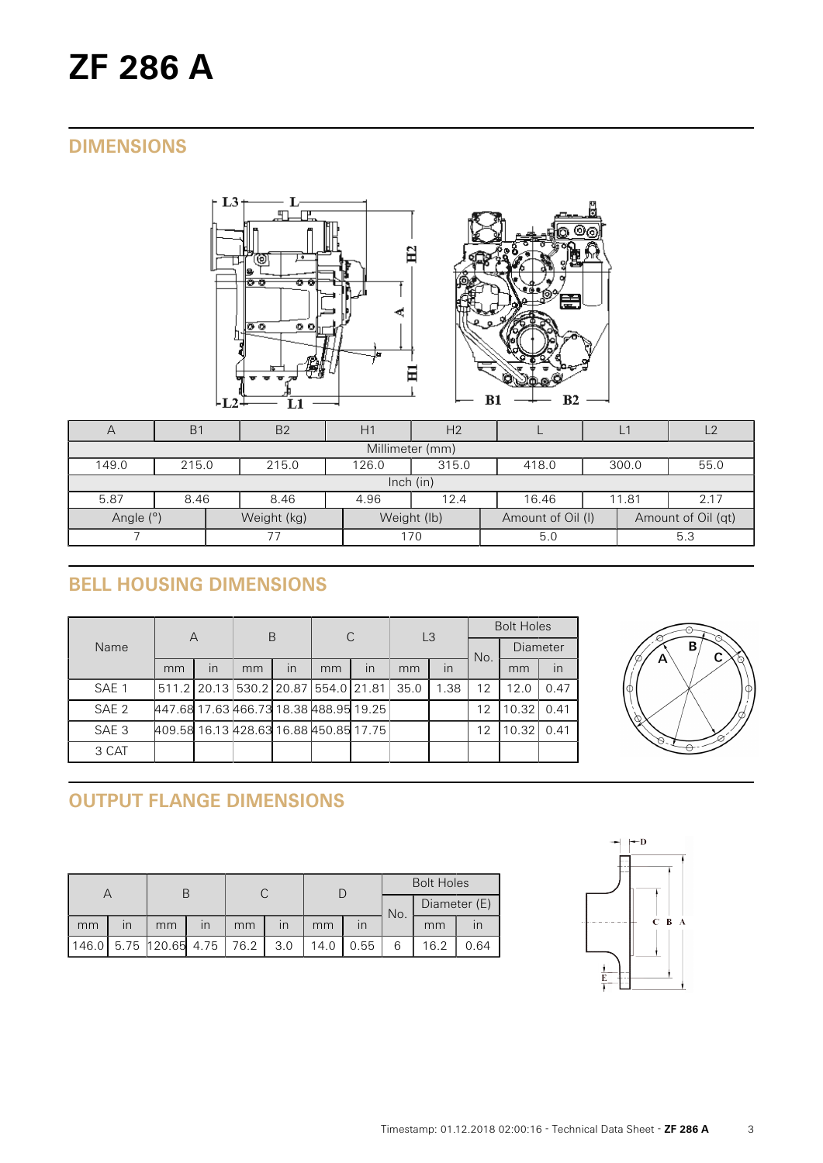# **DIMENSIONS**





| $\forall$                                                                          | B <sub>1</sub> | B <sub>2</sub>                                    | H1 | H <sub>2</sub> |     |  |     | $\lfloor 2 \rfloor$ |  |  |  |
|------------------------------------------------------------------------------------|----------------|---------------------------------------------------|----|----------------|-----|--|-----|---------------------|--|--|--|
| Millimeter (mm)                                                                    |                |                                                   |    |                |     |  |     |                     |  |  |  |
| 149.0                                                                              | 215.0          | 55.0<br>315.0<br>126.0<br>300.0<br>215.0<br>418.0 |    |                |     |  |     |                     |  |  |  |
| lnch (in)                                                                          |                |                                                   |    |                |     |  |     |                     |  |  |  |
| 5.87                                                                               | 8.46           | 2.17<br>16.46<br>4.96<br>12.4<br>11.81<br>8.46    |    |                |     |  |     |                     |  |  |  |
| Angle (°)<br>Weight (kg)<br>Weight (lb)<br>Amount of Oil (qt)<br>Amount of Oil (I) |                |                                                   |    |                |     |  |     |                     |  |  |  |
|                                                                                    | 77             |                                                   |    | 170            | 5.0 |  | 5.3 |                     |  |  |  |

# **BELL HOUSING DIMENSIONS**

|                  | А                                      |    | B                                   |    | C  |    | L3   |      | <b>Bolt Holes</b> |                 |      |
|------------------|----------------------------------------|----|-------------------------------------|----|----|----|------|------|-------------------|-----------------|------|
| Name             |                                        |    |                                     |    |    |    |      |      | No.               | <b>Diameter</b> |      |
|                  | mm                                     | in | mm                                  | in | mm | in | mm   | in   |                   | mm              | in   |
| SAE 1            |                                        |    | 511.2 20.13 530.2 20.87 554.0 21.81 |    |    |    | 35.0 | 1.38 | 12                | 12.0            | 0.47 |
| SAE <sub>2</sub> | 447.68 17.63 466.73 18.38 488.95 19.25 |    |                                     |    |    |    |      |      | 12                | 10.32           | 0.41 |
| SAE <sub>3</sub> | 409.58 16.13 428.63 16.88 450.85 17.75 |    |                                     |    |    |    |      |      | 12                | 10.32           | 0.41 |
| 3 CAT            |                                        |    |                                     |    |    |    |      |      |                   |                 |      |



# **OUTPUT FLANGE DIMENSIONS**

|       |    |                         |                         |    |                         |      |              | <b>Bolt Holes</b> |      |      |  |
|-------|----|-------------------------|-------------------------|----|-------------------------|------|--------------|-------------------|------|------|--|
|       |    |                         |                         |    |                         |      | No.          | Diameter (E)      |      |      |  |
| mm    | ın | mm                      | $\overline{\mathsf{I}}$ | mm | $\overline{\mathsf{I}}$ | mm   | $\mathsf{I}$ |                   | mm   |      |  |
| 146.0 |    | $5.75$ 120.65 4.75 76.2 |                         |    | 3.0                     | 14.0 | 0.55         |                   | 16.2 | 0.64 |  |